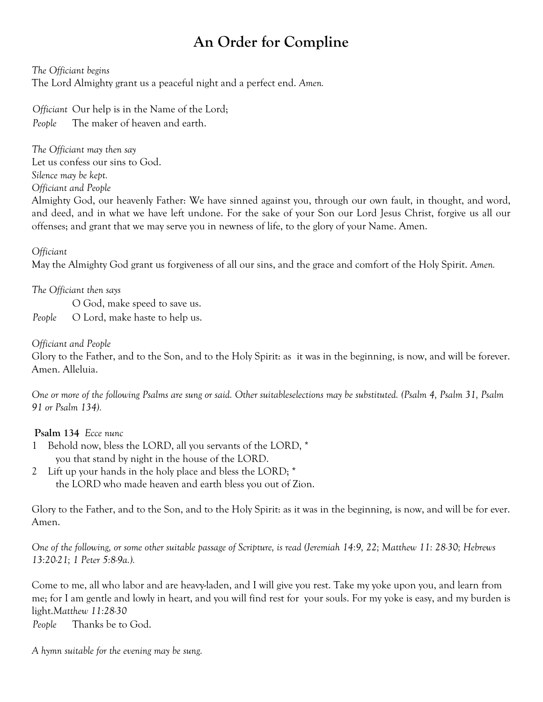# **An Order for Compline**

*The Officiant begins*

The Lord Almighty grant us a peaceful night and a perfect end. *Amen.*

*Officiant* Our help is in the Name of the Lord; *People* The maker of heaven and earth.

*The Officiant may then say* Let us confess our sins to God. *Silence may be kept. Officiant and People*

Almighty God, our heavenly Father: We have sinned against you, through our own fault, in thought, and word, and deed, and in what we have left undone. For the sake of your Son our Lord Jesus Christ, forgive us all our offenses; and grant that we may serve you in newness of life, to the glory of your Name. Amen.

*Officiant*

May the Almighty God grant us forgiveness of all our sins, and the grace and comfort of the Holy Spirit. *Amen.*

## *The Officiant then says*

O God, make speed to save us. *People* O Lord, make haste to help us.

#### *Officiant and People*

Glory to the Father, and to the Son, and to the Holy Spirit: as it was in the beginning, is now, and will be forever. Amen. Alleluia.

*One or more of the following Psalms are sung or said. Other suitableselections may be substituted. (Psalm 4, Psalm 31, Psalm 91 or Psalm 134).*

## **Psalm 134** *Ecce nunc*

- 1 Behold now, bless the LORD, all you servants of the LORD, \* you that stand by night in the house of the LORD.
- 2 Lift up your hands in the holy place and bless the LORD; \* the LORD who made heaven and earth bless you out of Zion.

Glory to the Father, and to the Son, and to the Holy Spirit: as it was in the beginning, is now, and will be for ever. Amen.

*One of the following, or some other suitable passage of Scripture, is read (Jeremiah 14:9, 22; Matthew 11: 28-30; Hebrews 13:20-21; 1 Peter 5:8-9a.).*

Come to me, all who labor and are heavy-laden, and I will give you rest. Take my yoke upon you, and learn from me; for I am gentle and lowly in heart, and you will find rest for your souls. For my yoke is easy, and my burden is light.*Matthew 11:28-30*

*People* Thanks be to God.

*A hymn suitable for the evening may be sung.*